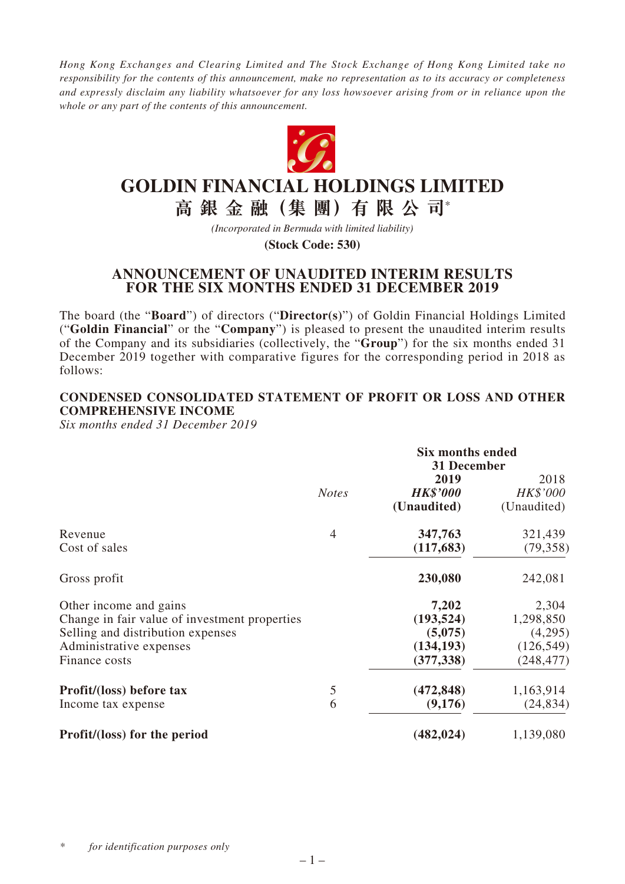*Hong Kong Exchanges and Clearing Limited and The Stock Exchange of Hong Kong Limited take no responsibility for the contents of this announcement, make no representation as to its accuracy or completeness and expressly disclaim any liability whatsoever for any loss howsoever arising from or in reliance upon the whole or any part of the contents of this announcement.*



# **GOLDIN FINANCIAL HOLDINGS LIMITED**

**高 銀 金 融(集 團)有 限 公 司**\*

*(Incorporated in Bermuda with limited liability)*

**(Stock Code: 530)**

# **ANNOUNCEMENT OF UNAUDITED INTERIM RESULTS FOR THE SIX MONTHS ENDED 31 DECEMBER 2019**

The board (the "**Board**") of directors ("**Director(s)**") of Goldin Financial Holdings Limited ("**Goldin Financial**" or the "**Company**") is pleased to present the unaudited interim results of the Company and its subsidiaries (collectively, the "**Group**") for the six months ended 31 December 2019 together with comparative figures for the corresponding period in 2018 as follows:

## **CONDENSED CONSOLIDATED STATEMENT OF PROFIT OR LOSS AND OTHER COMPREHENSIVE INCOME**

*Six months ended 31 December 2019*

|                                               |                | <b>Six months ended</b><br>31 December |             |  |
|-----------------------------------------------|----------------|----------------------------------------|-------------|--|
|                                               |                | 2019                                   | 2018        |  |
|                                               | <b>Notes</b>   | <b>HK\$'000</b>                        | HK\$'000    |  |
|                                               |                | (Unaudited)                            | (Unaudited) |  |
| Revenue                                       | $\overline{4}$ | 347,763                                | 321,439     |  |
| Cost of sales                                 |                | (117, 683)                             | (79, 358)   |  |
| Gross profit                                  |                | 230,080                                | 242,081     |  |
| Other income and gains                        |                | 7,202                                  | 2,304       |  |
| Change in fair value of investment properties |                | (193, 524)                             | 1,298,850   |  |
| Selling and distribution expenses             |                | (5,075)                                | (4,295)     |  |
| Administrative expenses                       |                | (134, 193)                             | (126, 549)  |  |
| Finance costs                                 |                | (377, 338)                             | (248, 477)  |  |
| Profit/(loss) before tax                      | 5              | (472, 848)                             | 1,163,914   |  |
| Income tax expense                            | 6              | (9,176)                                | (24, 834)   |  |
| Profit/(loss) for the period                  |                | (482, 024)                             | 1,139,080   |  |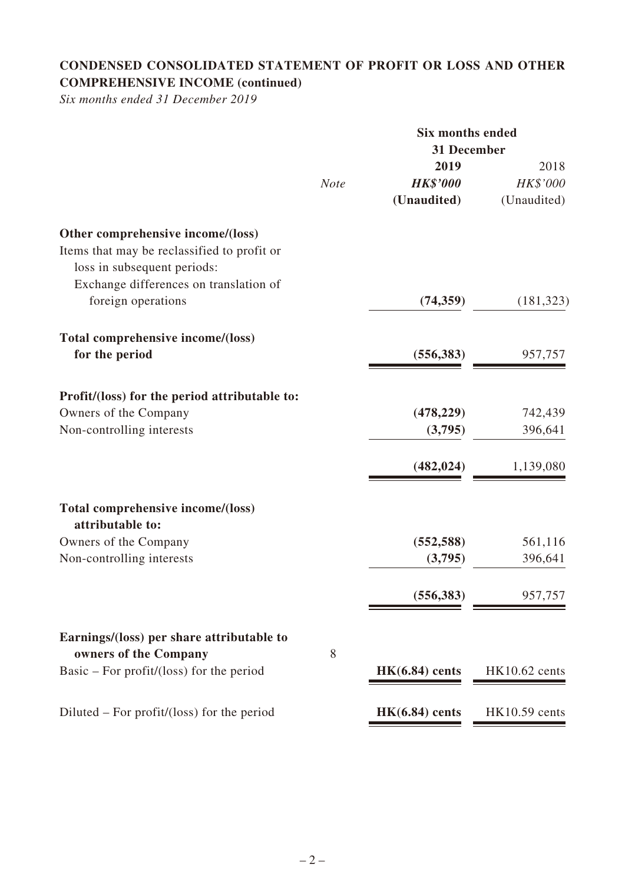# **CONDENSED CONSOLIDATED STATEMENT OF PROFIT OR LOSS AND OTHER COMPREHENSIVE INCOME (continued)**

*Six months ended 31 December 2019*

|                                                                            |             | <b>Six months ended</b><br>31 December |                      |  |
|----------------------------------------------------------------------------|-------------|----------------------------------------|----------------------|--|
|                                                                            |             | 2019                                   | 2018                 |  |
|                                                                            | <b>Note</b> | <b>HK\$'000</b>                        | HK\$'000             |  |
|                                                                            |             | (Unaudited)                            | (Unaudited)          |  |
| Other comprehensive income/(loss)                                          |             |                                        |                      |  |
| Items that may be reclassified to profit or<br>loss in subsequent periods: |             |                                        |                      |  |
| Exchange differences on translation of                                     |             |                                        |                      |  |
| foreign operations                                                         |             | (74, 359)                              | (181, 323)           |  |
| Total comprehensive income/(loss)                                          |             |                                        |                      |  |
| for the period                                                             |             | (556, 383)                             | 957,757              |  |
| Profit/(loss) for the period attributable to:                              |             |                                        |                      |  |
| Owners of the Company                                                      |             | (478, 229)                             | 742,439              |  |
| Non-controlling interests                                                  |             | (3,795)                                | 396,641              |  |
|                                                                            |             | (482, 024)                             | 1,139,080            |  |
| Total comprehensive income/(loss)<br>attributable to:                      |             |                                        |                      |  |
| Owners of the Company                                                      |             | (552, 588)                             | 561,116              |  |
| Non-controlling interests                                                  |             | (3,795)                                | 396,641              |  |
|                                                                            |             | (556, 383)                             | 957,757              |  |
| Earnings/(loss) per share attributable to                                  |             |                                        |                      |  |
| owners of the Company<br>Basic – For profit/(loss) for the period          | 8           | $HK(6.84)$ cents                       | $HK10.62$ cents      |  |
| Diluted – For profit/(loss) for the period                                 |             | $HK(6.84)$ cents                       | <b>HK10.59</b> cents |  |
|                                                                            |             |                                        |                      |  |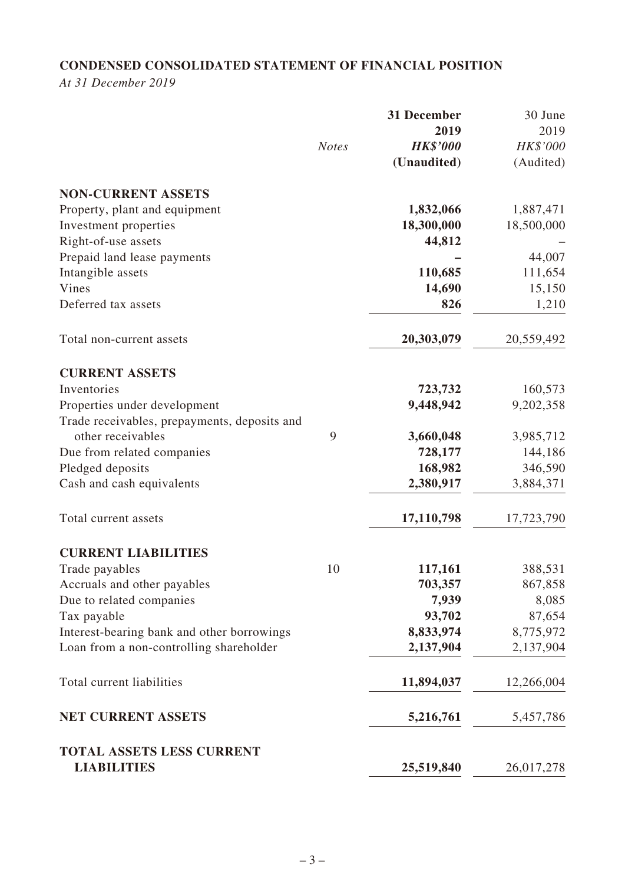# **CONDENSED CONSOLIDATED STATEMENT OF FINANCIAL POSITION**

*At 31 December 2019*

|                                                 |              | 31 December<br>2019 | 30 June<br>2019 |
|-------------------------------------------------|--------------|---------------------|-----------------|
|                                                 | <b>Notes</b> | <b>HK\$'000</b>     | HK\$'000        |
|                                                 |              | (Unaudited)         | (Audited)       |
| <b>NON-CURRENT ASSETS</b>                       |              |                     |                 |
| Property, plant and equipment                   |              | 1,832,066           | 1,887,471       |
| Investment properties                           |              | 18,300,000          | 18,500,000      |
| Right-of-use assets                             |              | 44,812              |                 |
| Prepaid land lease payments                     |              |                     | 44,007          |
| Intangible assets                               |              | 110,685             | 111,654         |
| Vines                                           |              | 14,690              | 15,150          |
| Deferred tax assets                             |              | 826                 | 1,210           |
| Total non-current assets                        |              | 20,303,079          | 20,559,492      |
| <b>CURRENT ASSETS</b>                           |              |                     |                 |
| Inventories                                     |              | 723,732             | 160,573         |
| Properties under development                    |              | 9,448,942           | 9,202,358       |
| Trade receivables, prepayments, deposits and    |              |                     |                 |
| other receivables                               | 9            | 3,660,048           | 3,985,712       |
| Due from related companies                      |              | 728,177             | 144,186         |
| Pledged deposits                                |              | 168,982             | 346,590         |
| Cash and cash equivalents                       |              | 2,380,917           | 3,884,371       |
| Total current assets                            |              | 17,110,798          | 17,723,790      |
| <b>CURRENT LIABILITIES</b>                      |              |                     |                 |
| Trade payables                                  | 10           | 117,161             | 388,531         |
| Accruals and other payables                     |              | 703,357             | 867,858         |
| Due to related companies                        |              | 7,939               | 8,085           |
| Tax payable                                     |              | 93,702              | 87,654          |
| Interest-bearing bank and other borrowings      |              | 8,833,974           | 8,775,972       |
| Loan from a non-controlling shareholder         |              | 2,137,904           | 2,137,904       |
| Total current liabilities                       |              | 11,894,037          | 12,266,004      |
| <b>NET CURRENT ASSETS</b>                       |              | 5,216,761           | 5,457,786       |
| TOTAL ASSETS LESS CURRENT<br><b>LIABILITIES</b> |              | 25,519,840          | 26,017,278      |
|                                                 |              |                     |                 |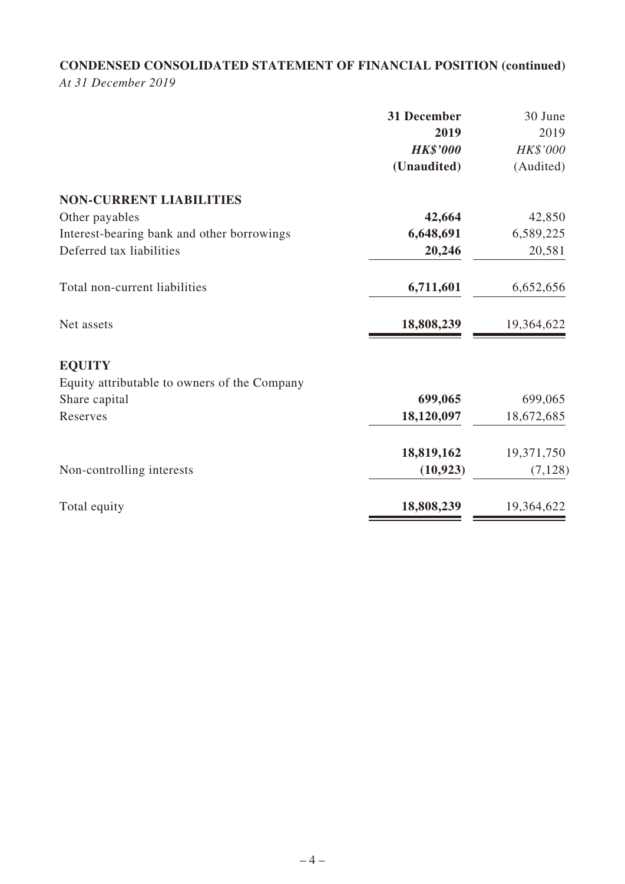# **CONDENSED CONSOLIDATED STATEMENT OF FINANCIAL POSITION (continued)**

*At 31 December 2019*

|                                              | 31 December     | 30 June    |
|----------------------------------------------|-----------------|------------|
|                                              | 2019            | 2019       |
|                                              | <b>HK\$'000</b> | HK\$'000   |
|                                              | (Unaudited)     | (Audited)  |
| <b>NON-CURRENT LIABILITIES</b>               |                 |            |
| Other payables                               | 42,664          | 42,850     |
| Interest-bearing bank and other borrowings   | 6,648,691       | 6,589,225  |
| Deferred tax liabilities                     | 20,246          | 20,581     |
| Total non-current liabilities                | 6,711,601       | 6,652,656  |
| Net assets                                   | 18,808,239      | 19,364,622 |
| <b>EQUITY</b>                                |                 |            |
| Equity attributable to owners of the Company |                 |            |
| Share capital                                | 699,065         | 699,065    |
| Reserves                                     | 18,120,097      | 18,672,685 |
|                                              | 18,819,162      | 19,371,750 |
| Non-controlling interests                    | (10, 923)       | (7, 128)   |
| Total equity                                 | 18,808,239      | 19,364,622 |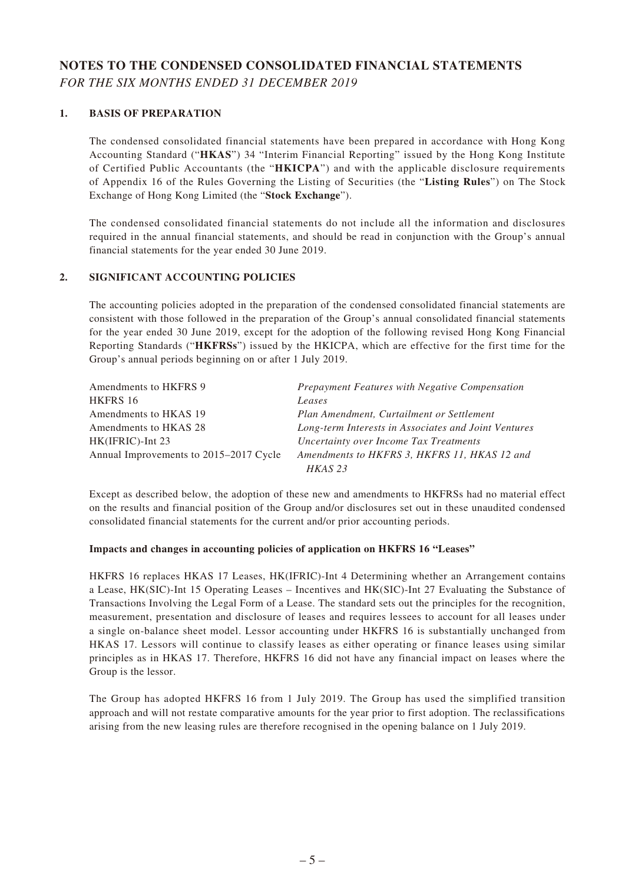# **NOTES TO THE CONDENSED CONSOLIDATED FINANCIAL STATEMENTS** *FOR THE SIX MONTHS ENDED 31 DECEMBER 2019*

#### **1. BASIS OF PREPARATION**

The condensed consolidated financial statements have been prepared in accordance with Hong Kong Accounting Standard ("**HKAS**") 34 "Interim Financial Reporting" issued by the Hong Kong Institute of Certified Public Accountants (the "**HKICPA**") and with the applicable disclosure requirements of Appendix 16 of the Rules Governing the Listing of Securities (the "**Listing Rules**") on The Stock Exchange of Hong Kong Limited (the "**Stock Exchange**").

The condensed consolidated financial statements do not include all the information and disclosures required in the annual financial statements, and should be read in conjunction with the Group's annual financial statements for the year ended 30 June 2019.

#### **2. SIGNIFICANT ACCOUNTING POLICIES**

The accounting policies adopted in the preparation of the condensed consolidated financial statements are consistent with those followed in the preparation of the Group's annual consolidated financial statements for the year ended 30 June 2019, except for the adoption of the following revised Hong Kong Financial Reporting Standards ("**HKFRSs**") issued by the HKICPA, which are effective for the first time for the Group's annual periods beginning on or after 1 July 2019.

| Amendments to HKFRS 9                  | Prepayment Features with Negative Compensation       |
|----------------------------------------|------------------------------------------------------|
| HKFRS 16                               | Leases                                               |
| Amendments to HKAS 19                  | Plan Amendment, Curtailment or Settlement            |
| Amendments to HKAS 28                  | Long-term Interests in Associates and Joint Ventures |
| HK(IFRIC)-Int 23                       | Uncertainty over Income Tax Treatments               |
| Annual Improvements to 2015–2017 Cycle | Amendments to HKFRS 3, HKFRS 11, HKAS 12 and         |
|                                        | $HKAS$ 23                                            |

Except as described below, the adoption of these new and amendments to HKFRSs had no material effect on the results and financial position of the Group and/or disclosures set out in these unaudited condensed consolidated financial statements for the current and/or prior accounting periods.

#### **Impacts and changes in accounting policies of application on HKFRS 16 "Leases"**

HKFRS 16 replaces HKAS 17 Leases, HK(IFRIC)-Int 4 Determining whether an Arrangement contains a Lease, HK(SIC)-Int 15 Operating Leases – Incentives and HK(SIC)-Int 27 Evaluating the Substance of Transactions Involving the Legal Form of a Lease. The standard sets out the principles for the recognition, measurement, presentation and disclosure of leases and requires lessees to account for all leases under a single on-balance sheet model. Lessor accounting under HKFRS 16 is substantially unchanged from HKAS 17. Lessors will continue to classify leases as either operating or finance leases using similar principles as in HKAS 17. Therefore, HKFRS 16 did not have any financial impact on leases where the Group is the lessor.

The Group has adopted HKFRS 16 from 1 July 2019. The Group has used the simplified transition approach and will not restate comparative amounts for the year prior to first adoption. The reclassifications arising from the new leasing rules are therefore recognised in the opening balance on 1 July 2019.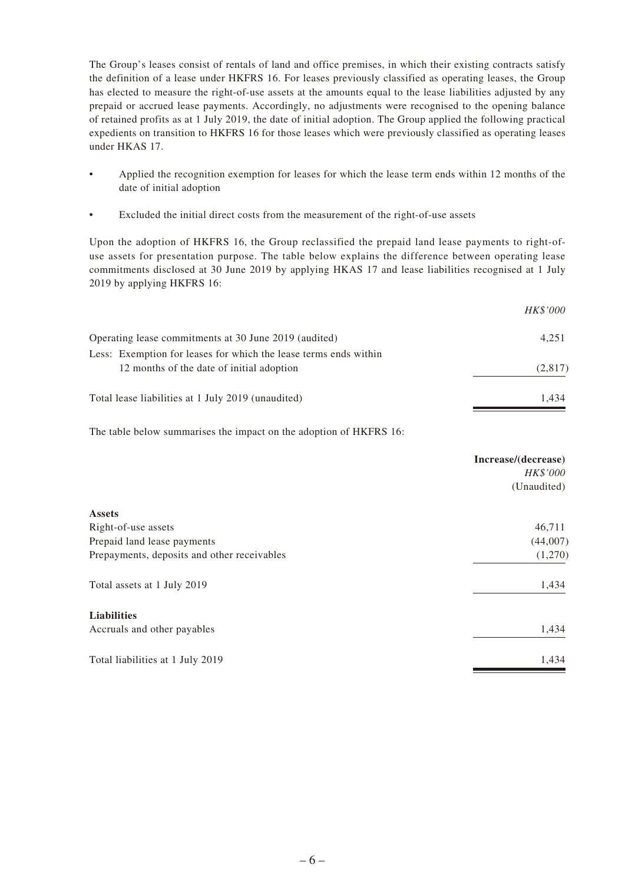The Group's leases consist of rentals of land and office premises, in which their existing contracts satisfy the definition of a lease under HKFRS 16. For leases previously classified as operating leases, the Group has elected to measure the right-of-use assets at the amounts equal to the lease liabilities adjusted by any prepaid or accrued lease payments. Accordingly, no adjustments were recognised to the opening balance of retained profits as at 1 July 2019, the date of initial adoption. The Group applied the following practical expedients on transition to HKFRS 16 for those leases which were previously classified as operating leases under HKAS 17.

- Applied the recognition exemption for leases for which the lease term ends within 12 months of the date of initial adoption
- Excluded the initial direct costs from the measurement of the right-of-use assets

Upon the adoption of HKFRS 16, the Group reclassified the prepaid land lease payments to right-ofuse assets for presentation purpose. The table below explains the difference between operating lease commitments disclosed at 30 June 2019 by applying HKAS 17 and lease liabilities recognised at 1 July 2019 by applying HKFRS 16:

|                                                                                                               | <i>HK\$'000</i> |
|---------------------------------------------------------------------------------------------------------------|-----------------|
| Operating lease commitments at 30 June 2019 (audited)                                                         | 4,251           |
| Less: Exemption for leases for which the lease terms ends within<br>12 months of the date of initial adoption | (2,817)         |
| Total lease liabilities at 1 July 2019 (unaudited)                                                            | 1.434           |

The table below summarises the impact on the adoption of HKFRS 16:

|                                             | Increase/(decrease)<br>HK\$'000<br>(Unaudited) |
|---------------------------------------------|------------------------------------------------|
| <b>Assets</b>                               |                                                |
| Right-of-use assets                         | 46,711                                         |
| Prepaid land lease payments                 | (44,007)                                       |
| Prepayments, deposits and other receivables | (1,270)                                        |
| Total assets at 1 July 2019                 | 1,434                                          |
| <b>Liabilities</b>                          |                                                |
| Accruals and other payables                 | 1,434                                          |
| Total liabilities at 1 July 2019            | 1,434                                          |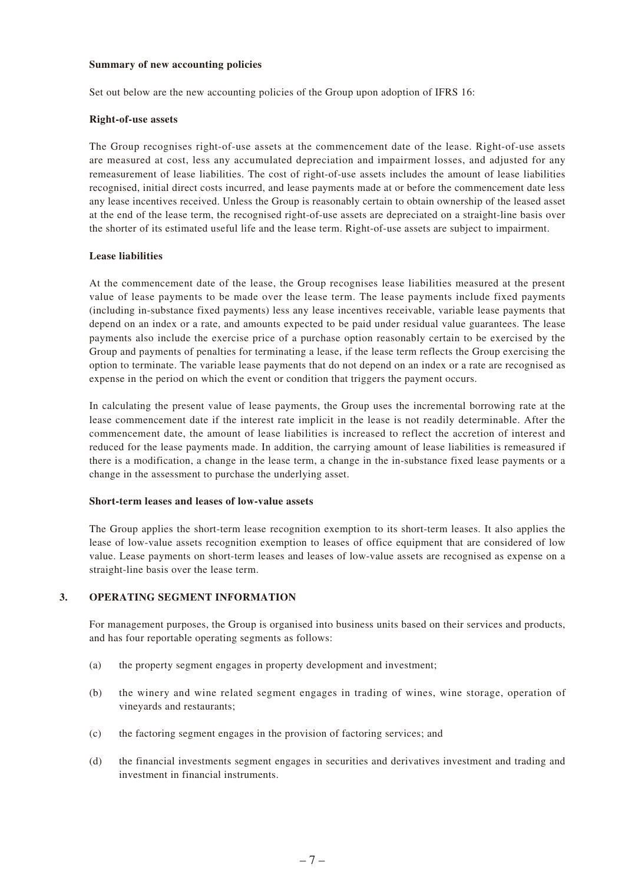#### **Summary of new accounting policies**

Set out below are the new accounting policies of the Group upon adoption of IFRS 16:

#### **Right-of-use assets**

The Group recognises right-of-use assets at the commencement date of the lease. Right-of-use assets are measured at cost, less any accumulated depreciation and impairment losses, and adjusted for any remeasurement of lease liabilities. The cost of right-of-use assets includes the amount of lease liabilities recognised, initial direct costs incurred, and lease payments made at or before the commencement date less any lease incentives received. Unless the Group is reasonably certain to obtain ownership of the leased asset at the end of the lease term, the recognised right-of-use assets are depreciated on a straight-line basis over the shorter of its estimated useful life and the lease term. Right-of-use assets are subject to impairment.

#### **Lease liabilities**

At the commencement date of the lease, the Group recognises lease liabilities measured at the present value of lease payments to be made over the lease term. The lease payments include fixed payments (including in-substance fixed payments) less any lease incentives receivable, variable lease payments that depend on an index or a rate, and amounts expected to be paid under residual value guarantees. The lease payments also include the exercise price of a purchase option reasonably certain to be exercised by the Group and payments of penalties for terminating a lease, if the lease term reflects the Group exercising the option to terminate. The variable lease payments that do not depend on an index or a rate are recognised as expense in the period on which the event or condition that triggers the payment occurs.

In calculating the present value of lease payments, the Group uses the incremental borrowing rate at the lease commencement date if the interest rate implicit in the lease is not readily determinable. After the commencement date, the amount of lease liabilities is increased to reflect the accretion of interest and reduced for the lease payments made. In addition, the carrying amount of lease liabilities is remeasured if there is a modification, a change in the lease term, a change in the in-substance fixed lease payments or a change in the assessment to purchase the underlying asset.

#### **Short-term leases and leases of low-value assets**

The Group applies the short-term lease recognition exemption to its short-term leases. It also applies the lease of low-value assets recognition exemption to leases of office equipment that are considered of low value. Lease payments on short-term leases and leases of low-value assets are recognised as expense on a straight-line basis over the lease term.

#### **3. OPERATING SEGMENT INFORMATION**

For management purposes, the Group is organised into business units based on their services and products, and has four reportable operating segments as follows:

- (a) the property segment engages in property development and investment;
- (b) the winery and wine related segment engages in trading of wines, wine storage, operation of vineyards and restaurants;
- (c) the factoring segment engages in the provision of factoring services; and
- (d) the financial investments segment engages in securities and derivatives investment and trading and investment in financial instruments.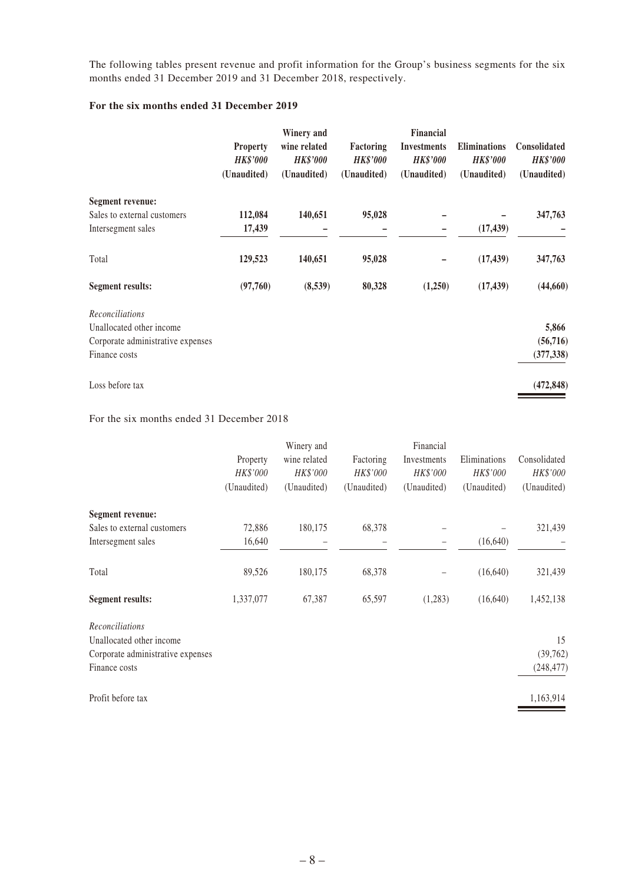The following tables present revenue and profit information for the Group's business segments for the six months ended 31 December 2019 and 31 December 2018, respectively.

#### **For the six months ended 31 December 2019**

|                                   | <b>Property</b><br><b>HK\$'000</b><br>(Unaudited) | Winery and<br>wine related<br><b>HK\$'000</b><br>(Unaudited) | Factoring<br><b>HK\$'000</b><br>(Unaudited) | <b>Financial</b><br><b>Investments</b><br><b>HK\$'000</b><br>(Unaudited) | <b>Eliminations</b><br><b>HK\$'000</b><br>(Unaudited) | <b>Consolidated</b><br><b>HK\$'000</b><br>(Unaudited) |
|-----------------------------------|---------------------------------------------------|--------------------------------------------------------------|---------------------------------------------|--------------------------------------------------------------------------|-------------------------------------------------------|-------------------------------------------------------|
| <b>Segment revenue:</b>           |                                                   |                                                              |                                             |                                                                          |                                                       |                                                       |
| Sales to external customers       | 112,084                                           | 140,651                                                      | 95,028                                      |                                                                          |                                                       | 347,763                                               |
| Intersegment sales                | 17,439                                            |                                                              |                                             |                                                                          | (17, 439)                                             |                                                       |
| Total                             | 129,523                                           | 140,651                                                      | 95,028                                      |                                                                          | (17, 439)                                             | 347,763                                               |
| <b>Segment results:</b>           | (97,760)                                          | (8,539)                                                      | 80,328                                      | (1,250)                                                                  | (17, 439)                                             | (44,660)                                              |
| Reconciliations                   |                                                   |                                                              |                                             |                                                                          |                                                       |                                                       |
| Unallocated other income          |                                                   |                                                              |                                             |                                                                          |                                                       | 5,866                                                 |
| Corporate administrative expenses |                                                   |                                                              |                                             |                                                                          |                                                       | (56, 716)                                             |
| Finance costs                     |                                                   |                                                              |                                             |                                                                          |                                                       | (377, 338)                                            |
| Loss before tax                   |                                                   |                                                              |                                             |                                                                          |                                                       | (472, 848)                                            |

#### For the six months ended 31 December 2018

|                                             | Property<br>HK\$'000<br>(Unaudited) | Winery and<br>wine related<br>HK\$'000<br>(Unaudited) | Factoring<br>HK\$'000<br>(Unaudited) | Financial<br>Investments<br>HK\$'000<br>(Unaudited) | Eliminations<br>HK\$'000<br>(Unaudited) | Consolidated<br>HK\$'000<br>(Unaudited) |
|---------------------------------------------|-------------------------------------|-------------------------------------------------------|--------------------------------------|-----------------------------------------------------|-----------------------------------------|-----------------------------------------|
| <b>Segment revenue:</b>                     |                                     |                                                       |                                      |                                                     |                                         |                                         |
| Sales to external customers                 | 72,886                              | 180,175                                               | 68,378                               |                                                     |                                         | 321,439                                 |
| Intersegment sales                          | 16,640                              |                                                       |                                      | $\overline{\phantom{0}}$                            | (16, 640)                               |                                         |
| Total                                       | 89,526                              | 180,175                                               | 68,378                               |                                                     | (16,640)                                | 321,439                                 |
| <b>Segment results:</b>                     | 1,337,077                           | 67,387                                                | 65,597                               | (1,283)                                             | (16,640)                                | 1,452,138                               |
| Reconciliations<br>Unallocated other income |                                     |                                                       |                                      |                                                     |                                         | 15                                      |
| Corporate administrative expenses           |                                     |                                                       |                                      |                                                     |                                         | (39,762)                                |
| Finance costs                               |                                     |                                                       |                                      |                                                     |                                         | (248, 477)                              |
| Profit before tax                           |                                     |                                                       |                                      |                                                     |                                         | 1,163,914                               |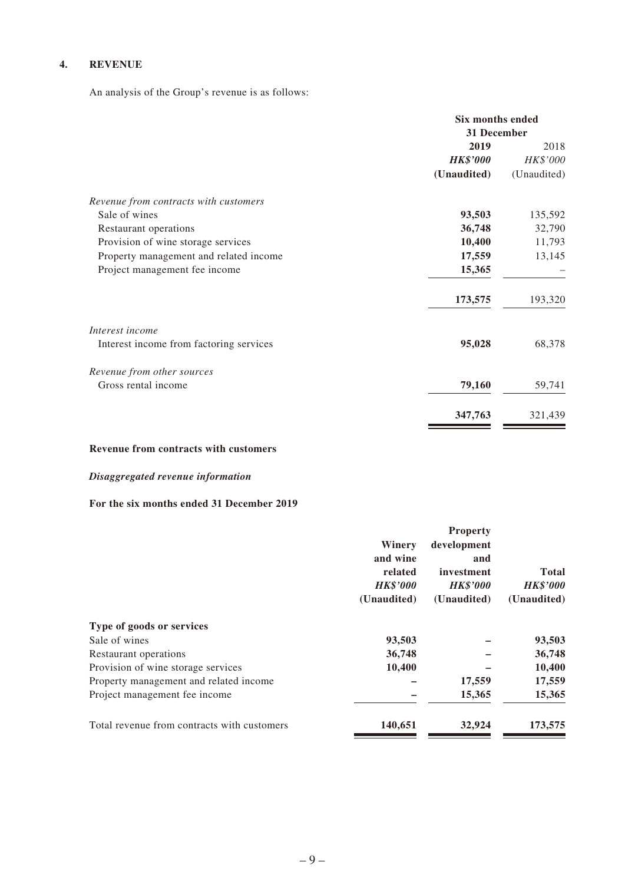## **4. REVENUE**

An analysis of the Group's revenue is as follows:

|                                         | Six months ended |             |
|-----------------------------------------|------------------|-------------|
|                                         | 31 December      |             |
|                                         | 2019             | 2018        |
|                                         | <b>HK\$'000</b>  | HK\$'000    |
|                                         | (Unaudited)      | (Unaudited) |
| Revenue from contracts with customers   |                  |             |
| Sale of wines                           | 93,503           | 135,592     |
| Restaurant operations                   | 36,748           | 32,790      |
| Provision of wine storage services      | 10,400           | 11,793      |
| Property management and related income  | 17,559           | 13,145      |
| Project management fee income           | 15,365           |             |
|                                         | 173,575          | 193,320     |
| Interest income                         |                  |             |
| Interest income from factoring services | 95,028           | 68,378      |
| Revenue from other sources              |                  |             |
| Gross rental income                     | 79,160           | 59,741      |
|                                         | 347,763          | 321,439     |

#### **Revenue from contracts with customers**

## *Disaggregated revenue information*

### **For the six months ended 31 December 2019**

|                                             | Winery<br>and wine<br>related<br><b>HK\$'000</b><br>(Unaudited) | <b>Property</b><br>development<br>and<br>investment<br><b>HK\$'000</b><br>(Unaudited) | <b>Total</b><br><b>HK\$'000</b><br>(Unaudited) |
|---------------------------------------------|-----------------------------------------------------------------|---------------------------------------------------------------------------------------|------------------------------------------------|
| Type of goods or services                   |                                                                 |                                                                                       |                                                |
| Sale of wines                               | 93,503                                                          |                                                                                       | 93,503                                         |
| Restaurant operations                       | 36,748                                                          |                                                                                       | 36,748                                         |
| Provision of wine storage services          | 10,400                                                          |                                                                                       | 10,400                                         |
| Property management and related income      |                                                                 | 17,559                                                                                | 17,559                                         |
| Project management fee income               |                                                                 | 15,365                                                                                | 15,365                                         |
| Total revenue from contracts with customers | 140,651                                                         | 32,924                                                                                | 173,575                                        |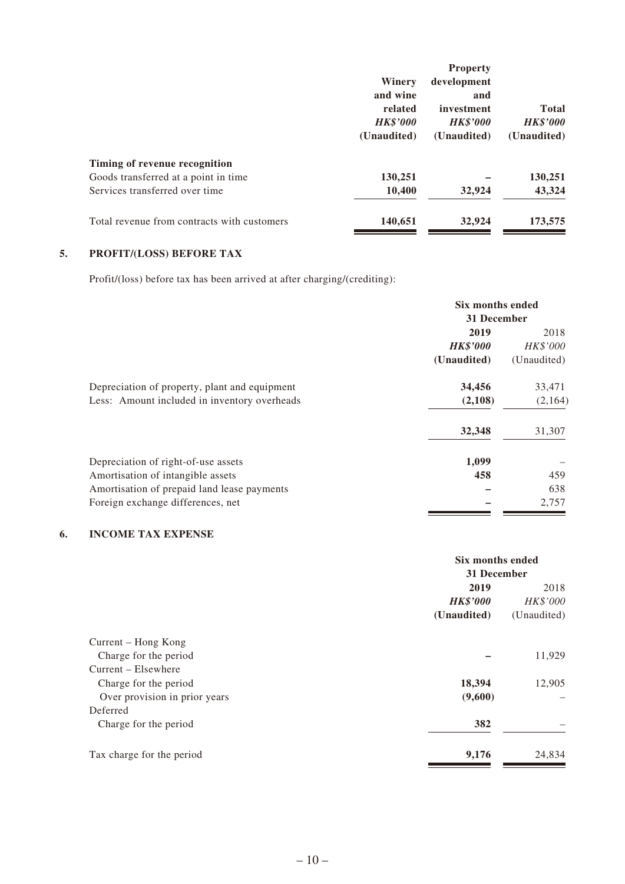|                                             |                 | <b>Property</b> |                 |
|---------------------------------------------|-----------------|-----------------|-----------------|
|                                             | Winery          | development     |                 |
|                                             | and wine        | and             |                 |
|                                             | related         | investment      | <b>Total</b>    |
|                                             | <b>HK\$'000</b> | <b>HK\$'000</b> | <b>HK\$'000</b> |
|                                             | (Unaudited)     | (Unaudited)     | (Unaudited)     |
| Timing of revenue recognition               |                 |                 |                 |
| Goods transferred at a point in time        | 130,251         |                 | 130,251         |
| Services transferred over time              | 10,400          | 32,924          | 43,324          |
| Total revenue from contracts with customers | 140,651         | 32,924          | 173,575         |
|                                             |                 |                 |                 |

# **5. PROFIT/(LOSS) BEFORE TAX**

Profit/(loss) before tax has been arrived at after charging/(crediting):

|                                               | Six months ended |             |
|-----------------------------------------------|------------------|-------------|
|                                               | 31 December      |             |
|                                               | 2019             | 2018        |
|                                               | <b>HK\$'000</b>  | HK\$'000    |
|                                               | (Unaudited)      | (Unaudited) |
| Depreciation of property, plant and equipment | 34,456           | 33,471      |
| Less: Amount included in inventory overheads  | (2,108)          | (2,164)     |
|                                               | 32,348           | 31,307      |
| Depreciation of right-of-use assets           | 1,099            |             |
| Amortisation of intangible assets             | 458              | 459         |
| Amortisation of prepaid land lease payments   |                  | 638         |
| Foreign exchange differences, net             |                  | 2,757       |

#### **6. INCOME TAX EXPENSE**

|                               |                 | Six months ended<br>31 December |  |
|-------------------------------|-----------------|---------------------------------|--|
|                               | 2019            | 2018                            |  |
|                               | <b>HK\$'000</b> | HK\$'000                        |  |
|                               | (Unaudited)     | (Unaudited)                     |  |
| Current – Hong Kong           |                 |                                 |  |
| Charge for the period         |                 | 11,929                          |  |
| Current – Elsewhere           |                 |                                 |  |
| Charge for the period         | 18,394          | 12,905                          |  |
| Over provision in prior years | (9,600)         |                                 |  |
| Deferred                      |                 |                                 |  |
| Charge for the period         | 382             |                                 |  |
| Tax charge for the period     | 9,176           | 24,834                          |  |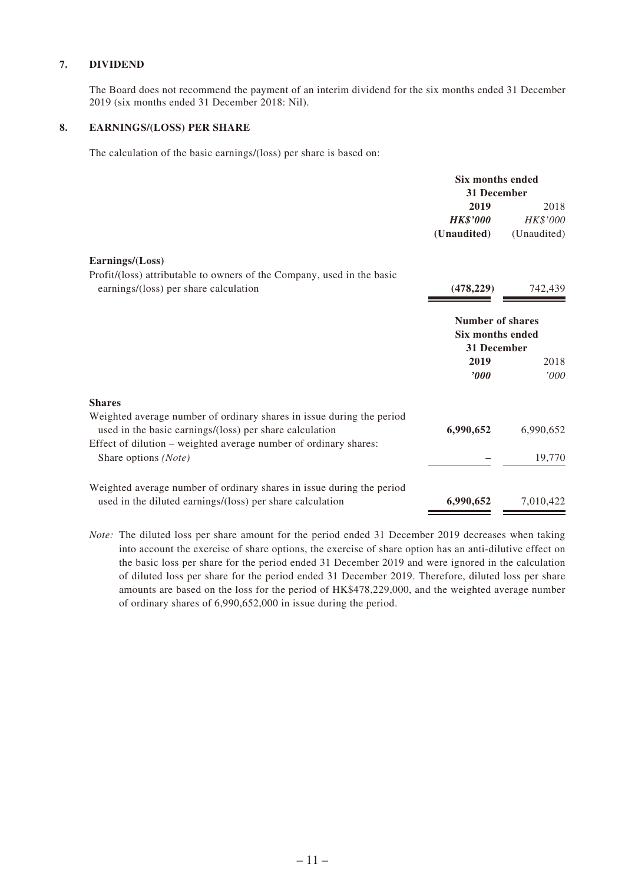#### **7. DIVIDEND**

The Board does not recommend the payment of an interim dividend for the six months ended 31 December 2019 (six months ended 31 December 2018: Nil).

#### **8. EARNINGS/(LOSS) PER SHARE**

The calculation of the basic earnings/(loss) per share is based on:

|                                                                        | <b>Six months ended</b><br>31 December                                   |             |
|------------------------------------------------------------------------|--------------------------------------------------------------------------|-------------|
|                                                                        | 2019                                                                     | 2018        |
|                                                                        | <b>HK\$'000</b>                                                          | HK\$'000    |
|                                                                        | (Unaudited)                                                              | (Unaudited) |
| Earnings/(Loss)                                                        |                                                                          |             |
| Profit/(loss) attributable to owners of the Company, used in the basic |                                                                          |             |
| earnings/(loss) per share calculation                                  | (478, 229)                                                               | 742,439     |
|                                                                        | <b>Number of shares</b><br><b>Six months ended</b><br><b>31 December</b> |             |
|                                                                        |                                                                          |             |
|                                                                        | 2019                                                                     | 2018        |
|                                                                        | $\bm{v}$                                                                 | '000'       |
| <b>Shares</b>                                                          |                                                                          |             |
| Weighted average number of ordinary shares in issue during the period  |                                                                          |             |
| used in the basic earnings/(loss) per share calculation                | 6,990,652                                                                | 6,990,652   |
| Effect of dilution – weighted average number of ordinary shares:       |                                                                          |             |
| Share options (Note)                                                   |                                                                          | 19,770      |
| Weighted average number of ordinary shares in issue during the period  |                                                                          |             |
| used in the diluted earnings/(loss) per share calculation              | 6,990,652                                                                | 7,010,422   |
|                                                                        |                                                                          |             |

*Note:* The diluted loss per share amount for the period ended 31 December 2019 decreases when taking into account the exercise of share options, the exercise of share option has an anti-dilutive effect on the basic loss per share for the period ended 31 December 2019 and were ignored in the calculation of diluted loss per share for the period ended 31 December 2019. Therefore, diluted loss per share amounts are based on the loss for the period of HK\$478,229,000, and the weighted average number of ordinary shares of 6,990,652,000 in issue during the period.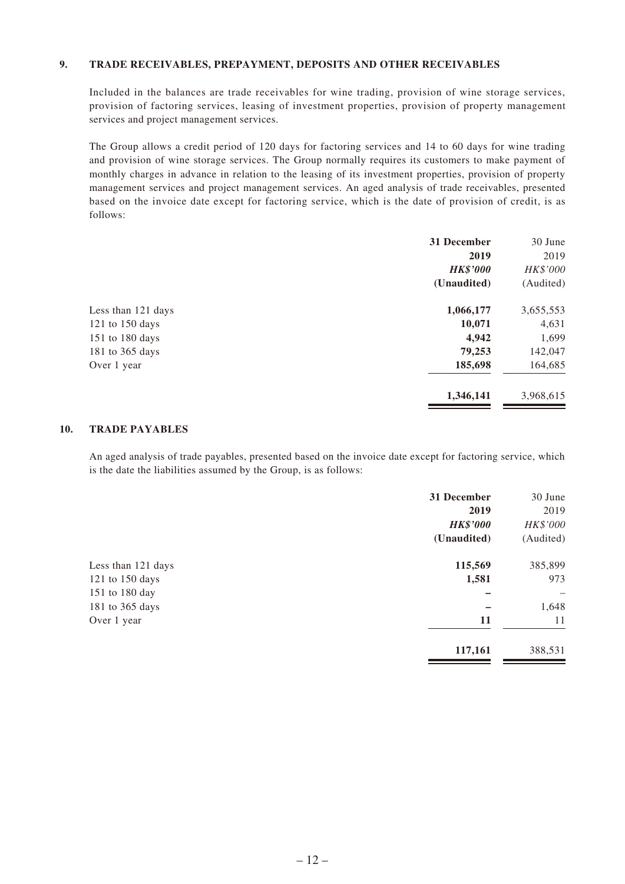#### **9. TRADE RECEIVABLES, PREPAYMENT, DEPOSITS AND OTHER RECEIVABLES**

Included in the balances are trade receivables for wine trading, provision of wine storage services, provision of factoring services, leasing of investment properties, provision of property management services and project management services.

The Group allows a credit period of 120 days for factoring services and 14 to 60 days for wine trading and provision of wine storage services. The Group normally requires its customers to make payment of monthly charges in advance in relation to the leasing of its investment properties, provision of property management services and project management services. An aged analysis of trade receivables, presented based on the invoice date except for factoring service, which is the date of provision of credit, is as follows:

|                     | 31 December     | 30 June   |
|---------------------|-----------------|-----------|
|                     | 2019            | 2019      |
|                     | <b>HK\$'000</b> | HK\$'000  |
|                     | (Unaudited)     | (Audited) |
| Less than 121 days  | 1,066,177       | 3,655,553 |
| $121$ to $150$ days | 10,071          | 4,631     |
| 151 to 180 days     | 4,942           | 1,699     |
| 181 to 365 days     | 79,253          | 142,047   |
| Over 1 year         | 185,698         | 164,685   |
|                     | 1,346,141       | 3,968,615 |
|                     |                 |           |

#### **10. TRADE PAYABLES**

An aged analysis of trade payables, presented based on the invoice date except for factoring service, which is the date the liabilities assumed by the Group, is as follows:

|                    | 31 December<br>2019<br><b>HK\$'000</b><br>(Unaudited) | 30 June<br>2019<br>HK\$'000<br>(Audited) |
|--------------------|-------------------------------------------------------|------------------------------------------|
| Less than 121 days | 115,569                                               | 385,899                                  |
| 121 to 150 days    | 1,581                                                 | 973                                      |
| 151 to 180 day     |                                                       |                                          |
| 181 to 365 days    |                                                       | 1,648                                    |
| Over 1 year        | 11                                                    | 11                                       |
|                    | 117,161                                               | 388,531                                  |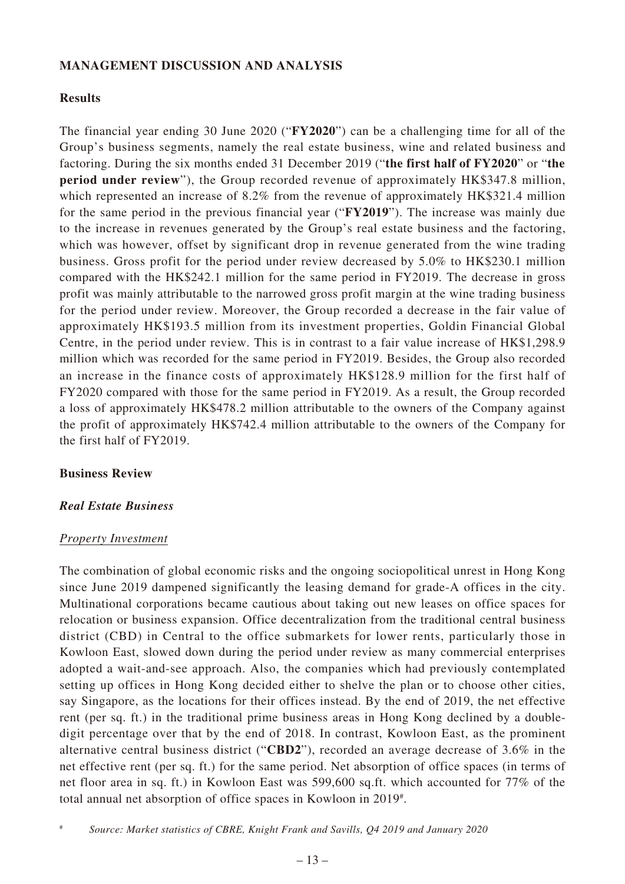## **MANAGEMENT DISCUSSION AND ANALYSIS**

## **Results**

The financial year ending 30 June 2020 ("**FY2020**") can be a challenging time for all of the Group's business segments, namely the real estate business, wine and related business and factoring. During the six months ended 31 December 2019 ("**the first half of FY2020**" or "**the period under review**"), the Group recorded revenue of approximately HK\$347.8 million, which represented an increase of 8.2% from the revenue of approximately HK\$321.4 million for the same period in the previous financial year ("**FY2019**"). The increase was mainly due to the increase in revenues generated by the Group's real estate business and the factoring, which was however, offset by significant drop in revenue generated from the wine trading business. Gross profit for the period under review decreased by 5.0% to HK\$230.1 million compared with the HK\$242.1 million for the same period in FY2019. The decrease in gross profit was mainly attributable to the narrowed gross profit margin at the wine trading business for the period under review. Moreover, the Group recorded a decrease in the fair value of approximately HK\$193.5 million from its investment properties, Goldin Financial Global Centre, in the period under review. This is in contrast to a fair value increase of HK\$1,298.9 million which was recorded for the same period in FY2019. Besides, the Group also recorded an increase in the finance costs of approximately HK\$128.9 million for the first half of FY2020 compared with those for the same period in FY2019. As a result, the Group recorded a loss of approximately HK\$478.2 million attributable to the owners of the Company against the profit of approximately HK\$742.4 million attributable to the owners of the Company for the first half of FY2019.

## **Business Review**

## *Real Estate Business*

## *Property Investment*

The combination of global economic risks and the ongoing sociopolitical unrest in Hong Kong since June 2019 dampened significantly the leasing demand for grade-A offices in the city. Multinational corporations became cautious about taking out new leases on office spaces for relocation or business expansion. Office decentralization from the traditional central business district (CBD) in Central to the office submarkets for lower rents, particularly those in Kowloon East, slowed down during the period under review as many commercial enterprises adopted a wait-and-see approach. Also, the companies which had previously contemplated setting up offices in Hong Kong decided either to shelve the plan or to choose other cities, say Singapore, as the locations for their offices instead. By the end of 2019, the net effective rent (per sq. ft.) in the traditional prime business areas in Hong Kong declined by a doubledigit percentage over that by the end of 2018. In contrast, Kowloon East, as the prominent alternative central business district ("**CBD2**"), recorded an average decrease of 3.6% in the net effective rent (per sq. ft.) for the same period. Net absorption of office spaces (in terms of net floor area in sq. ft.) in Kowloon East was 599,600 sq.ft. which accounted for 77% of the total annual net absorption of office spaces in Kowloon in 2019#.

<sup>#</sup> *Source: Market statistics of CBRE, Knight Frank and Savills, Q4 2019 and January 2020*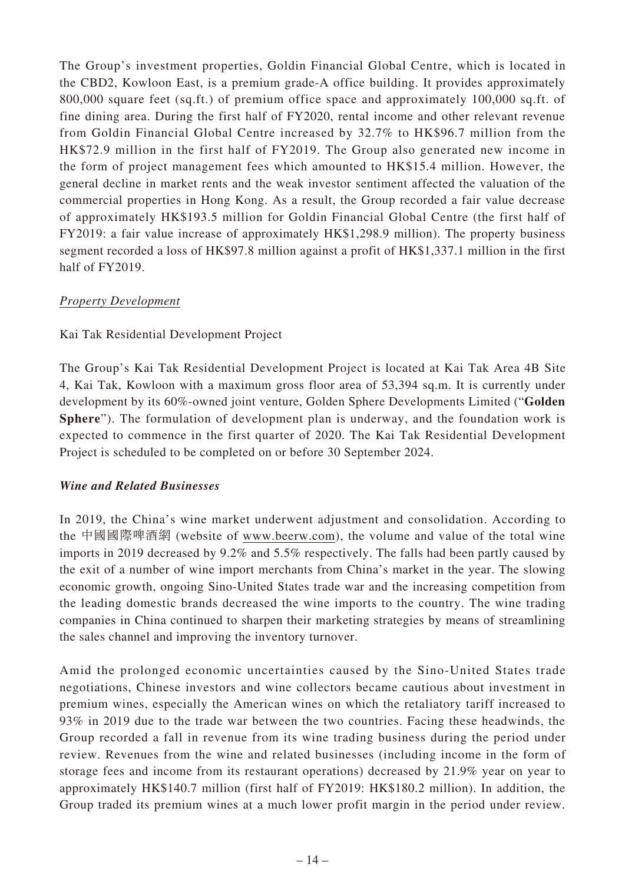The Group's investment properties, Goldin Financial Global Centre, which is located in the CBD2, Kowloon East, is a premium grade-A office building. It provides approximately 800,000 square feet (sq.ft.) of premium office space and approximately 100,000 sq.ft. of fine dining area. During the first half of FY2020, rental income and other relevant revenue from Goldin Financial Global Centre increased by 32.7% to HK\$96.7 million from the HK\$72.9 million in the first half of FY2019. The Group also generated new income in the form of project management fees which amounted to HK\$15.4 million. However, the general decline in market rents and the weak investor sentiment affected the valuation of the commercial properties in Hong Kong. As a result, the Group recorded a fair value decrease of approximately HK\$193.5 million for Goldin Financial Global Centre (the first half of FY2019: a fair value increase of approximately HK\$1,298.9 million). The property business segment recorded a loss of HK\$97.8 million against a profit of HK\$1,337.1 million in the first half of FY2019.

# *Property Development*

# Kai Tak Residential Development Project

The Group's Kai Tak Residential Development Project is located at Kai Tak Area 4B Site 4, Kai Tak, Kowloon with a maximum gross floor area of 53,394 sq.m. It is currently under development by its 60%-owned joint venture, Golden Sphere Developments Limited ("**Golden Sphere**"). The formulation of development plan is underway, and the foundation work is expected to commence in the first quarter of 2020. The Kai Tak Residential Development Project is scheduled to be completed on or before 30 September 2024.

## *Wine and Related Businesses*

In 2019, the China's wine market underwent adjustment and consolidation. According to the 中國國際啤酒網 (website of www.beerw.com), the volume and value of the total wine imports in 2019 decreased by 9.2% and 5.5% respectively. The falls had been partly caused by the exit of a number of wine import merchants from China's market in the year. The slowing economic growth, ongoing Sino-United States trade war and the increasing competition from the leading domestic brands decreased the wine imports to the country. The wine trading companies in China continued to sharpen their marketing strategies by means of streamlining the sales channel and improving the inventory turnover.

Amid the prolonged economic uncertainties caused by the Sino-United States trade negotiations, Chinese investors and wine collectors became cautious about investment in premium wines, especially the American wines on which the retaliatory tariff increased to 93% in 2019 due to the trade war between the two countries. Facing these headwinds, the Group recorded a fall in revenue from its wine trading business during the period under review. Revenues from the wine and related businesses (including income in the form of storage fees and income from its restaurant operations) decreased by 21.9% year on year to approximately HK\$140.7 million (first half of FY2019: HK\$180.2 million). In addition, the Group traded its premium wines at a much lower profit margin in the period under review.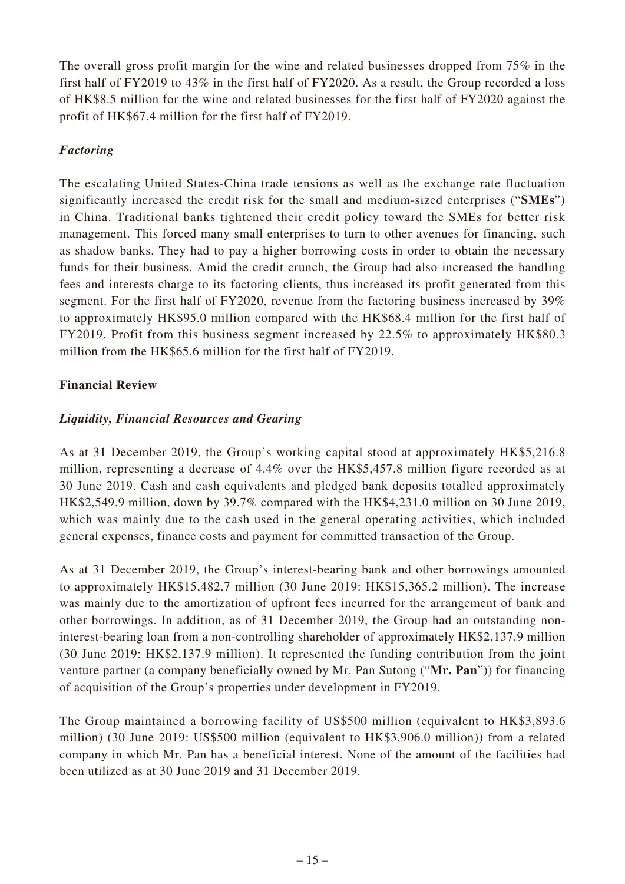The overall gross profit margin for the wine and related businesses dropped from 75% in the first half of FY2019 to 43% in the first half of FY2020. As a result, the Group recorded a loss of HK\$8.5 million for the wine and related businesses for the first half of FY2020 against the profit of HK\$67.4 million for the first half of FY2019.

# *Factoring*

The escalating United States-China trade tensions as well as the exchange rate fluctuation significantly increased the credit risk for the small and medium-sized enterprises ("**SMEs**") in China. Traditional banks tightened their credit policy toward the SMEs for better risk management. This forced many small enterprises to turn to other avenues for financing, such as shadow banks. They had to pay a higher borrowing costs in order to obtain the necessary funds for their business. Amid the credit crunch, the Group had also increased the handling fees and interests charge to its factoring clients, thus increased its profit generated from this segment. For the first half of FY2020, revenue from the factoring business increased by 39% to approximately HK\$95.0 million compared with the HK\$68.4 million for the first half of FY2019. Profit from this business segment increased by 22.5% to approximately HK\$80.3 million from the HK\$65.6 million for the first half of FY2019.

# **Financial Review**

# *Liquidity, Financial Resources and Gearing*

As at 31 December 2019, the Group's working capital stood at approximately HK\$5,216.8 million, representing a decrease of 4.4% over the HK\$5,457.8 million figure recorded as at 30 June 2019. Cash and cash equivalents and pledged bank deposits totalled approximately HK\$2,549.9 million, down by 39.7% compared with the HK\$4,231.0 million on 30 June 2019, which was mainly due to the cash used in the general operating activities, which included general expenses, finance costs and payment for committed transaction of the Group.

As at 31 December 2019, the Group's interest-bearing bank and other borrowings amounted to approximately HK\$15,482.7 million (30 June 2019: HK\$15,365.2 million). The increase was mainly due to the amortization of upfront fees incurred for the arrangement of bank and other borrowings. In addition, as of 31 December 2019, the Group had an outstanding noninterest-bearing loan from a non-controlling shareholder of approximately HK\$2,137.9 million (30 June 2019: HK\$2,137.9 million). It represented the funding contribution from the joint venture partner (a company beneficially owned by Mr. Pan Sutong ("**Mr. Pan**")) for financing of acquisition of the Group's properties under development in FY2019.

The Group maintained a borrowing facility of US\$500 million (equivalent to HK\$3,893.6 million) (30 June 2019: US\$500 million (equivalent to HK\$3,906.0 million)) from a related company in which Mr. Pan has a beneficial interest. None of the amount of the facilities had been utilized as at 30 June 2019 and 31 December 2019.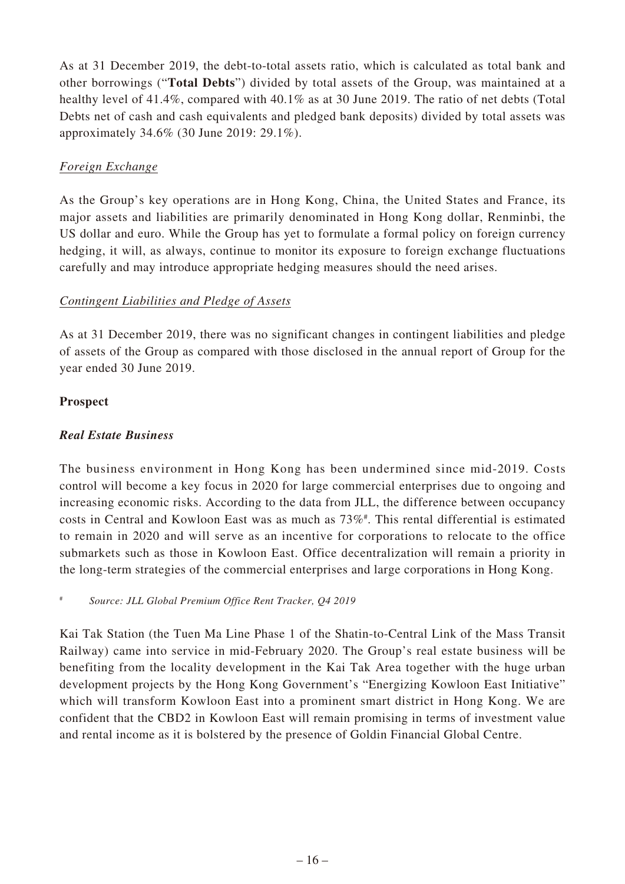As at 31 December 2019, the debt-to-total assets ratio, which is calculated as total bank and other borrowings ("**Total Debts**") divided by total assets of the Group, was maintained at a healthy level of 41.4%, compared with 40.1% as at 30 June 2019. The ratio of net debts (Total Debts net of cash and cash equivalents and pledged bank deposits) divided by total assets was approximately 34.6% (30 June 2019: 29.1%).

# *Foreign Exchange*

As the Group's key operations are in Hong Kong, China, the United States and France, its major assets and liabilities are primarily denominated in Hong Kong dollar, Renminbi, the US dollar and euro. While the Group has yet to formulate a formal policy on foreign currency hedging, it will, as always, continue to monitor its exposure to foreign exchange fluctuations carefully and may introduce appropriate hedging measures should the need arises.

# *Contingent Liabilities and Pledge of Assets*

As at 31 December 2019, there was no significant changes in contingent liabilities and pledge of assets of the Group as compared with those disclosed in the annual report of Group for the year ended 30 June 2019.

# **Prospect**

# *Real Estate Business*

The business environment in Hong Kong has been undermined since mid-2019. Costs control will become a key focus in 2020 for large commercial enterprises due to ongoing and increasing economic risks. According to the data from JLL, the difference between occupancy costs in Central and Kowloon East was as much as  $73\%$ <sup>#</sup>. This rental differential is estimated to remain in 2020 and will serve as an incentive for corporations to relocate to the office submarkets such as those in Kowloon East. Office decentralization will remain a priority in the long-term strategies of the commercial enterprises and large corporations in Hong Kong.

# *Source: JLL Global Premium Office Rent Tracker, Q4 2019*

Kai Tak Station (the Tuen Ma Line Phase 1 of the Shatin-to-Central Link of the Mass Transit Railway) came into service in mid-February 2020. The Group's real estate business will be benefiting from the locality development in the Kai Tak Area together with the huge urban development projects by the Hong Kong Government's "Energizing Kowloon East Initiative" which will transform Kowloon East into a prominent smart district in Hong Kong. We are confident that the CBD2 in Kowloon East will remain promising in terms of investment value and rental income as it is bolstered by the presence of Goldin Financial Global Centre.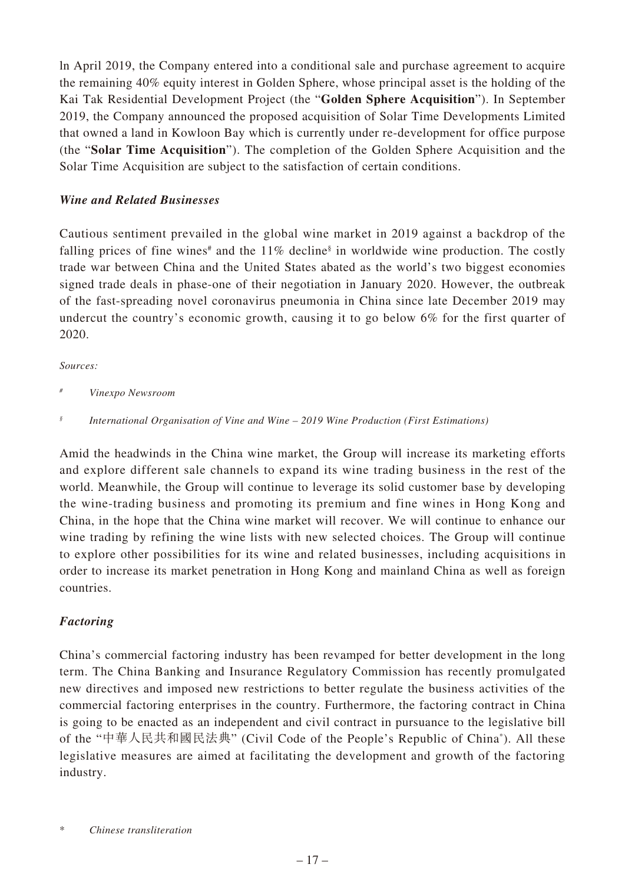ln April 2019, the Company entered into a conditional sale and purchase agreement to acquire the remaining 40% equity interest in Golden Sphere, whose principal asset is the holding of the Kai Tak Residential Development Project (the "**Golden Sphere Acquisition**"). In September 2019, the Company announced the proposed acquisition of Solar Time Developments Limited that owned a land in Kowloon Bay which is currently under re-development for office purpose (the "**Solar Time Acquisition**"). The completion of the Golden Sphere Acquisition and the Solar Time Acquisition are subject to the satisfaction of certain conditions.

# *Wine and Related Businesses*

Cautious sentiment prevailed in the global wine market in 2019 against a backdrop of the falling prices of fine wines<sup>#</sup> and the  $11\%$  decline<sup>§</sup> in worldwide wine production. The costly trade war between China and the United States abated as the world's two biggest economies signed trade deals in phase-one of their negotiation in January 2020. However, the outbreak of the fast-spreading novel coronavirus pneumonia in China since late December 2019 may undercut the country's economic growth, causing it to go below 6% for the first quarter of 2020.

## *Sources:*

*# Vinexpo Newsroom*

Amid the headwinds in the China wine market, the Group will increase its marketing efforts and explore different sale channels to expand its wine trading business in the rest of the world. Meanwhile, the Group will continue to leverage its solid customer base by developing the wine-trading business and promoting its premium and fine wines in Hong Kong and China, in the hope that the China wine market will recover. We will continue to enhance our wine trading by refining the wine lists with new selected choices. The Group will continue to explore other possibilities for its wine and related businesses, including acquisitions in order to increase its market penetration in Hong Kong and mainland China as well as foreign countries.

# *Factoring*

China's commercial factoring industry has been revamped for better development in the long term. The China Banking and Insurance Regulatory Commission has recently promulgated new directives and imposed new restrictions to better regulate the business activities of the commercial factoring enterprises in the country. Furthermore, the factoring contract in China is going to be enacted as an independent and civil contract in pursuance to the legislative bill of the "中華人民共和國民法典" (Civil Code of the People's Republic of China\* ). All these legislative measures are aimed at facilitating the development and growth of the factoring industry.

*<sup>§</sup> International Organisation of Vine and Wine – 2019 Wine Production (First Estimations)*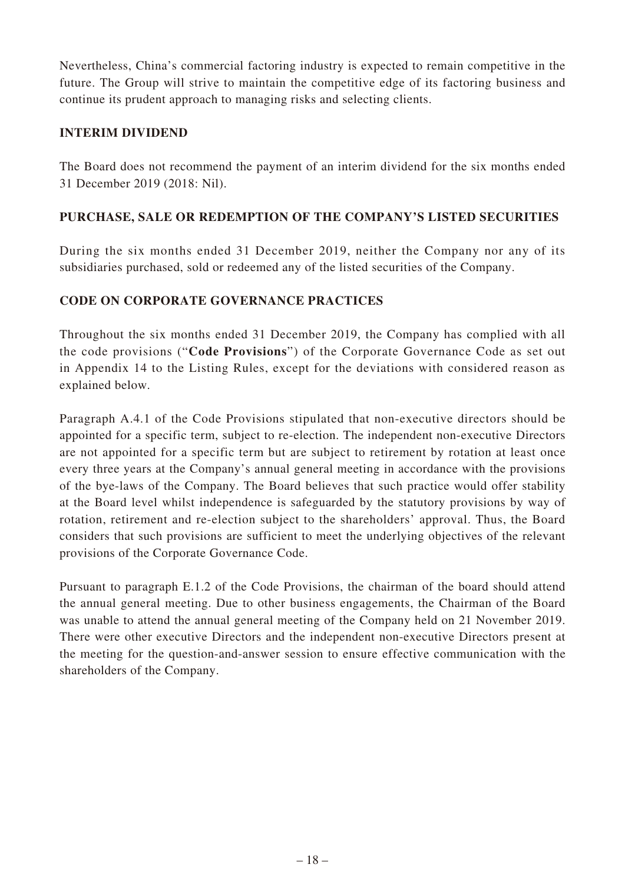Nevertheless, China's commercial factoring industry is expected to remain competitive in the future. The Group will strive to maintain the competitive edge of its factoring business and continue its prudent approach to managing risks and selecting clients.

# **INTERIM DIVIDEND**

The Board does not recommend the payment of an interim dividend for the six months ended 31 December 2019 (2018: Nil).

# **PURCHASE, SALE OR REDEMPTION OF THE COMPANY'S LISTED SECURITIES**

During the six months ended 31 December 2019, neither the Company nor any of its subsidiaries purchased, sold or redeemed any of the listed securities of the Company.

# **CODE ON CORPORATE GOVERNANCE PRACTICES**

Throughout the six months ended 31 December 2019, the Company has complied with all the code provisions ("**Code Provisions**") of the Corporate Governance Code as set out in Appendix 14 to the Listing Rules, except for the deviations with considered reason as explained below.

Paragraph A.4.1 of the Code Provisions stipulated that non-executive directors should be appointed for a specific term, subject to re-election. The independent non-executive Directors are not appointed for a specific term but are subject to retirement by rotation at least once every three years at the Company's annual general meeting in accordance with the provisions of the bye-laws of the Company. The Board believes that such practice would offer stability at the Board level whilst independence is safeguarded by the statutory provisions by way of rotation, retirement and re-election subject to the shareholders' approval. Thus, the Board considers that such provisions are sufficient to meet the underlying objectives of the relevant provisions of the Corporate Governance Code.

Pursuant to paragraph E.1.2 of the Code Provisions, the chairman of the board should attend the annual general meeting. Due to other business engagements, the Chairman of the Board was unable to attend the annual general meeting of the Company held on 21 November 2019. There were other executive Directors and the independent non-executive Directors present at the meeting for the question-and-answer session to ensure effective communication with the shareholders of the Company.